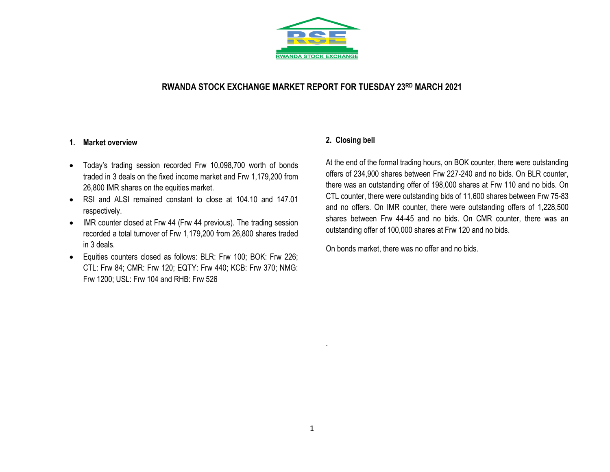

# **RWANDA STOCK EXCHANGE MARKET REPORT FOR TUESDAY 23 RD MARCH 2021**

### **1. Market overview**

- Today's trading session recorded Frw 10,098,700 worth of bonds traded in 3 deals on the fixed income market and Frw 1,179,200 from 26,800 IMR shares on the equities market.
- RSI and ALSI remained constant to close at 104.10 and 147.01 respectively.
- IMR counter closed at Frw 44 (Frw 44 previous). The trading session recorded a total turnover of Frw 1,179,200 from 26,800 shares traded in 3 deals.
- Equities counters closed as follows: BLR: Frw 100; BOK: Frw 226; CTL: Frw 84; CMR: Frw 120; EQTY: Frw 440; KCB: Frw 370; NMG: Frw 1200; USL: Frw 104 and RHB: Frw 526

## **2. Closing bell**

At the end of the formal trading hours, on BOK counter, there were outstanding offers of 234,900 shares between Frw 227-240 and no bids. On BLR counter, there was an outstanding offer of 198,000 shares at Frw 110 and no bids. On CTL counter, there were outstanding bids of 11,600 shares between Frw 75-83 and no offers. On IMR counter, there were outstanding offers of 1,228,500 shares between Frw 44-45 and no bids. On CMR counter, there was an outstanding offer of 100,000 shares at Frw 120 and no bids.

On bonds market, there was no offer and no bids.

.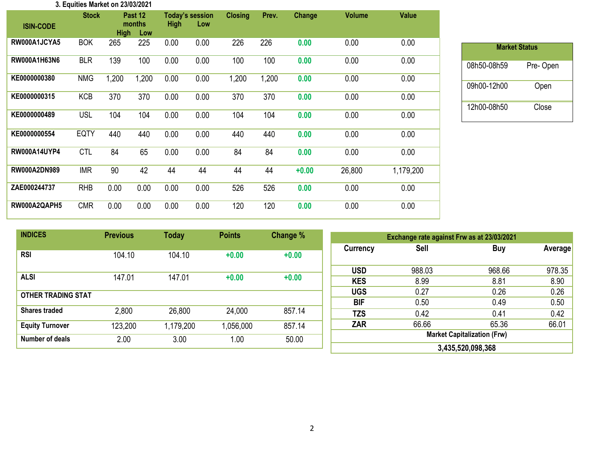#### **3. Equities Market on 23/03/2021**

| <b>ISIN-CODE</b>    | <b>Stock</b> | <b>High</b> | Past 12<br>months<br>Low | <b>High</b> | <b>Today's session</b><br>Low | <b>Closing</b> | Prev. | Change  | <b>Volume</b> | <b>Value</b> |
|---------------------|--------------|-------------|--------------------------|-------------|-------------------------------|----------------|-------|---------|---------------|--------------|
| RW000A1JCYA5        | <b>BOK</b>   | 265         | 225                      | 0.00        | 0.00                          | 226            | 226   | 0.00    | 0.00          | 0.00         |
| RW000A1H63N6        | <b>BLR</b>   | 139         | 100                      | 0.00        | 0.00                          | 100            | 100   | 0.00    | 0.00          | 0.00         |
| KE0000000380        | <b>NMG</b>   | 1,200       | 1,200                    | 0.00        | 0.00                          | 1,200          | 1,200 | 0.00    | 0.00          | 0.00         |
| KE0000000315        | <b>KCB</b>   | 370         | 370                      | 0.00        | 0.00                          | 370            | 370   | 0.00    | 0.00          | 0.00         |
| KE0000000489        | <b>USL</b>   | 104         | 104                      | 0.00        | 0.00                          | 104            | 104   | 0.00    | 0.00          | 0.00         |
| KE0000000554        | <b>EQTY</b>  | 440         | 440                      | 0.00        | 0.00                          | 440            | 440   | 0.00    | 0.00          | 0.00         |
| <b>RW000A14UYP4</b> | <b>CTL</b>   | 84          | 65                       | 0.00        | 0.00                          | 84             | 84    | 0.00    | 0.00          | 0.00         |
| <b>RW000A2DN989</b> | <b>IMR</b>   | 90          | 42                       | 44          | 44                            | 44             | 44    | $+0.00$ | 26,800        | 1,179,200    |
| ZAE000244737        | <b>RHB</b>   | 0.00        | 0.00                     | 0.00        | 0.00                          | 526            | 526   | 0.00    | 0.00          | 0.00         |
| RW000A2QAPH5        | <b>CMR</b>   | 0.00        | 0.00                     | 0.00        | 0.00                          | 120            | 120   | 0.00    | 0.00          | 0.00         |

| <b>Market Status</b> |          |  |  |  |  |  |  |  |
|----------------------|----------|--|--|--|--|--|--|--|
| 08h50-08h59          | Pre-Open |  |  |  |  |  |  |  |
| 09h00-12h00          | Open     |  |  |  |  |  |  |  |
| 12h00-08h50          | Close    |  |  |  |  |  |  |  |

| <b>INDICES</b>            | <b>Previous</b> | <b>Today</b> | <b>Points</b> | Change % | Exchange rate against Frw as at 23/03/2021 |             |            |                |
|---------------------------|-----------------|--------------|---------------|----------|--------------------------------------------|-------------|------------|----------------|
| <b>RSI</b>                | 104.10          | 104.10       | $+0.00$       | $+0.00$  | <b>Currency</b>                            | <b>Sell</b> | <b>Buy</b> | <b>Average</b> |
|                           |                 |              |               |          | <b>USD</b>                                 | 988.03      | 968.66     | 978.35         |
| <b>ALSI</b>               | 147.01          | 147.01       | $+0.00$       | $+0.00$  | <b>KES</b>                                 | 8.99        | 8.81       | 8.90           |
| <b>OTHER TRADING STAT</b> |                 |              |               |          | <b>UGS</b>                                 | 0.27        | 0.26       | 0.26           |
|                           |                 |              |               |          | <b>BIF</b>                                 | 0.50        | 0.49       | 0.50           |
| <b>Shares traded</b>      | 2,800           | 26,800       | 24,000        | 857.14   | <b>TZS</b>                                 | 0.42        | 0.41       | 0.42           |
| <b>Equity Turnover</b>    | 123,200         | 1,179,200    | 1,056,000     | 857.14   | <b>ZAR</b>                                 | 66.66       | 65.36      | 66.01          |
| Number of deals           | 2.00            | 3.00         | 1.00          | 50.00    | <b>Market Capitalization (Frw)</b>         |             |            |                |
|                           |                 |              |               |          | 3,435,520,098,368                          |             |            |                |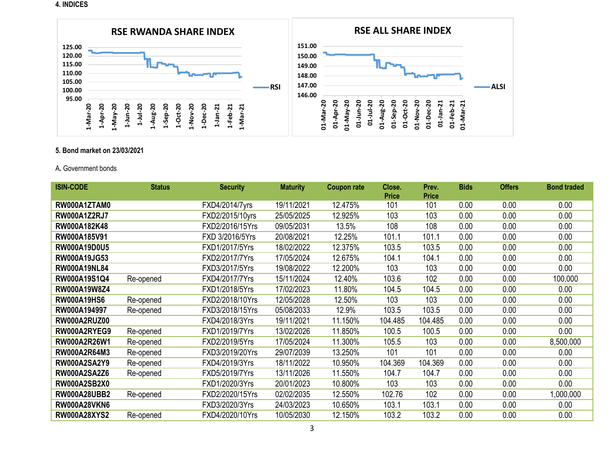#### **4. INDICES**



## **5. Bond market on 23/03/2021**

#### A**.** Government bonds

| <b>ISIN-CODE</b>    | <b>Status</b> | <b>Security</b> | <b>Maturity</b> | <b>Coupon rate</b> | Close.<br><b>Price</b> | Prev.<br><b>Price</b> | <b>Bids</b> | <b>Offers</b> | <b>Bond traded</b> |
|---------------------|---------------|-----------------|-----------------|--------------------|------------------------|-----------------------|-------------|---------------|--------------------|
| RW000A1ZTAM0        |               | FXD4/2014/7yrs  | 19/11/2021      | 12.475%            | 101                    | 101                   | 0.00        | 0.00          | 0.00               |
| <b>RW000A1Z2RJ7</b> |               | FXD2/2015/10yrs | 25/05/2025      | 12.925%            | 103                    | 103                   | 0.00        | 0.00          | 0.00               |
| RW000A182K48        |               | FXD2/2016/15Yrs | 09/05/2031      | 13.5%              | 108                    | 108                   | 0.00        | 0.00          | 0.00               |
| RW000A185V91        |               | FXD 3/2016/5Yrs | 20/08/2021      | 12.25%             | 101.1                  | 101.1                 | 0.00        | 0.00          | 0.00               |
| <b>RW000A19D0U5</b> |               | FXD1/2017/5Yrs  | 18/02/2022      | 12.375%            | 103.5                  | 103.5                 | 0.00        | 0.00          | 0.00               |
| <b>RW000A19JG53</b> |               | FXD2/2017/7Yrs  | 17/05/2024      | 12.675%            | 104.1                  | 104.1                 | 0.00        | 0.00          | 0.00               |
| <b>RW000A19NL84</b> |               | FXD3/2017/5Yrs  | 19/08/2022      | 12.200%            | 103                    | 103                   | 0.00        | 0.00          | 0.00               |
| RW000A19S1Q4        | Re-opened     | FXD4/2017/7Yrs  | 15/11/2024      | 12.40%             | 103.6                  | 102                   | 0.00        | 0.00          | 100,000            |
| RW000A19W8Z4        |               | FXD1/2018/5Yrs  | 17/02/2023      | 11.80%             | 104.5                  | 104.5                 | 0.00        | 0.00          | 0.00               |
| <b>RW000A19HS6</b>  | Re-opened     | FXD2/2018/10Yrs | 12/05/2028      | 12.50%             | 103                    | 103                   | 0.00        | 0.00          | 0.00               |
| RW000A194997        | Re-opened     | FXD3/2018/15Yrs | 05/08/2033      | 12.9%              | 103.5                  | 103.5                 | 0.00        | 0.00          | 0.00               |
| <b>RW000A2RUZ00</b> |               | FXD4/2018/3Yrs  | 19/11/2021      | 11.150%            | 104.485                | 104.485               | 0.00        | 0.00          | 0.00               |
| RW000A2RYEG9        | Re-opened     | FXD1/2019/7Yrs  | 13/02/2026      | 11.850%            | 100.5                  | 100.5                 | 0.00        | 0.00          | 0.00               |
| RW000A2R26W1        | Re-opened     | FXD2/2019/5Yrs  | 17/05/2024      | 11.300%            | 105.5                  | 103                   | 0.00        | 0.00          | 8,500,000          |
| RW000A2R64M3        | Re-opened     | FXD3/2019/20Yrs | 29/07/2039      | 13.250%            | 101                    | 101                   | 0.00        | 0.00          | 0.00               |
| <b>RW000A2SA2Y9</b> | Re-opened     | FXD4/2019/3Yrs  | 18/11/2022      | 10.950%            | 104.369                | 104.369               | 0.00        | 0.00          | 0.00               |
| <b>RW000A2SA2Z6</b> | Re-opened     | FXD5/2019/7Yrs  | 13/11/2026      | 11.550%            | 104.7                  | 104.7                 | 0.00        | 0.00          | 0.00               |
| <b>RW000A2SB2X0</b> |               | FXD1/2020/3Yrs  | 20/01/2023      | 10.800%            | 103                    | 103                   | 0.00        | 0.00          | 0.00               |
| <b>RW000A28UBB2</b> | Re-opened     | FXD2/2020/15Yrs | 02/02/2035      | 12.550%            | 102.76                 | 102                   | 0.00        | 0.00          | 1,000,000          |
| <b>RW000A28VKN6</b> |               | FXD3/2020/3Yrs  | 24/03/2023      | 10.650%            | 103.1                  | 103.1                 | 0.00        | 0.00          | 0.00               |
| <b>RW000A28XYS2</b> | Re-opened     | FXD4/2020/10Yrs | 10/05/2030      | 12.150%            | 103.2                  | 103.2                 | 0.00        | 0.00          | 0.00               |